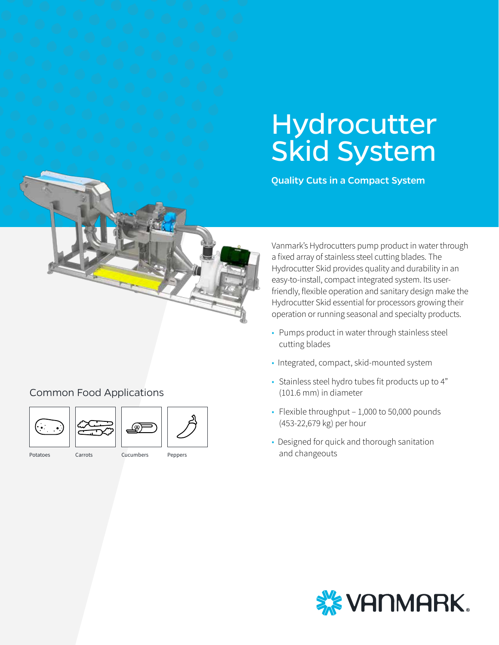# **Hydrocutter** Skid System

Quality Cuts in a Compact System



## Common Food Applications

![](_page_0_Figure_4.jpeg)

![](_page_0_Picture_5.jpeg)

![](_page_0_Picture_6.jpeg)

- Potatoes Carrots Cucumbers
- 
- Peppers

Vanmark's Hydrocutters pump product in water through a fixed array of stainless steel cutting blades. The Hydrocutter Skid provides quality and durability in an easy-to-install, compact integrated system. Its userfriendly, flexible operation and sanitary design make the Hydrocutter Skid essential for processors growing their operation or running seasonal and specialty products.

- Pumps product in water through stainless steel cutting blades
- Integrated, compact, skid-mounted system
- Stainless steel hydro tubes fit products up to 4" (101.6 mm) in diameter
- Flexible throughput 1,000 to 50,000 pounds (453-22,679 kg) per hour
- Designed for quick and thorough sanitation and changeouts

![](_page_0_Picture_17.jpeg)